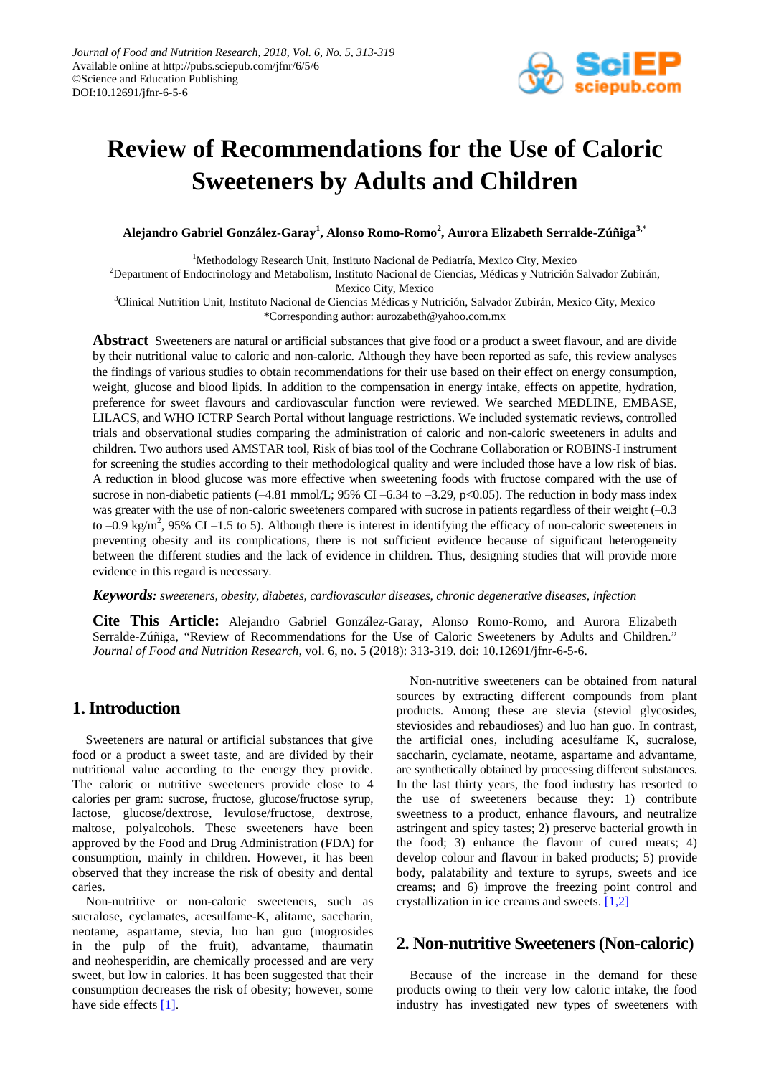

# **Review of Recommendations for the Use of Caloric Sweeteners by Adults and Children**

**Alejandro Gabriel González-Garay<sup>1</sup> , Alonso Romo-Romo<sup>2</sup> , Aurora Elizabeth Serralde-Zúñiga3,\***

<sup>1</sup>Methodology Research Unit, Instituto Nacional de Pediatría, Mexico City, Mexico

2 Department of Endocrinology and Metabolism, Instituto Nacional de Ciencias, Médicas y Nutrición Salvador Zubirán, Mexico City, Mexico

<sup>3</sup>Clinical Nutrition Unit, Instituto Nacional de Ciencias Médicas y Nutrición, Salvador Zubirán, Mexico City, Mexico \*Corresponding author: aurozabeth@yahoo.com.mx

**Abstract** Sweeteners are natural or artificial substances that give food or a product a sweet flavour, and are divide by their nutritional value to caloric and non-caloric. Although they have been reported as safe, this review analyses the findings of various studies to obtain recommendations for their use based on their effect on energy consumption, weight, glucose and blood lipids. In addition to the compensation in energy intake, effects on appetite, hydration, preference for sweet flavours and cardiovascular function were reviewed. We searched MEDLINE, EMBASE, LILACS, and WHO ICTRP Search Portal without language restrictions. We included systematic reviews, controlled trials and observational studies comparing the administration of caloric and non-caloric sweeteners in adults and children. Two authors used AMSTAR tool, Risk of bias tool of the Cochrane Collaboration or ROBINS-I instrument for screening the studies according to their methodological quality and were included those have a low risk of bias. A reduction in blood glucose was more effective when sweetening foods with fructose compared with the use of sucrose in non-diabetic patients (-4.81 mmol/L; 95% CI –6.34 to –3.29, p<0.05). The reduction in body mass index was greater with the use of non-caloric sweeteners compared with sucrose in patients regardless of their weight  $(-0.3)$ to  $-0.9$  kg/m<sup>2</sup>, 95% CI  $-1.5$  to 5). Although there is interest in identifying the efficacy of non-caloric sweeteners in preventing obesity and its complications, there is not sufficient evidence because of significant heterogeneity between the different studies and the lack of evidence in children. Thus, designing studies that will provide more evidence in this regard is necessary.

## *Keywords: sweeteners, obesity, diabetes, cardiovascular diseases, chronic degenerative diseases, infection*

**Cite This Article:** Alejandro Gabriel González-Garay, Alonso Romo-Romo, and Aurora Elizabeth Serralde-Zúñiga, "Review of Recommendations for the Use of Caloric Sweeteners by Adults and Children." *Journal of Food and Nutrition Research*, vol. 6, no. 5 (2018): 313-319. doi: 10.12691/jfnr-6-5-6.

## **1. Introduction**

Sweeteners are natural or artificial substances that give food or a product a sweet taste, and are divided by their nutritional value according to the energy they provide. The caloric or nutritive sweeteners provide close to 4 calories per gram: sucrose, fructose, glucose/fructose syrup, lactose, glucose/dextrose, levulose/fructose, dextrose, maltose, polyalcohols. These sweeteners have been approved by the Food and Drug Administration (FDA) for consumption, mainly in children. However, it has been observed that they increase the risk of obesity and dental caries.

Non-nutritive or non-caloric sweeteners, such as sucralose, cyclamates, acesulfame-K, alitame, saccharin, neotame, aspartame, stevia, luo han guo (mogrosides in the pulp of the fruit), advantame, thaumatin and neohesperidin, are chemically processed and are very sweet, but low in calories. It has been suggested that their consumption decreases the risk of obesity; however, some have side effects [\[1\].](#page-5-0)

Non-nutritive sweeteners can be obtained from natural sources by extracting different compounds from plant products. Among these are stevia (steviol glycosides, steviosides and rebaudioses) and luo han guo. In contrast, the artificial ones, including acesulfame K, sucralose, saccharin, cyclamate, neotame, aspartame and advantame, are synthetically obtained by processing different substances. In the last thirty years, the food industry has resorted to the use of sweeteners because they: 1) contribute sweetness to a product, enhance flavours, and neutralize astringent and spicy tastes; 2) preserve bacterial growth in the food; 3) enhance the flavour of cured meats; 4) develop colour and flavour in baked products; 5) provide body, palatability and texture to syrups, sweets and ice creams; and 6) improve the freezing point control and crystallization in ice creams and sweets. [\[1,2\]](#page-5-0)

## **2. Non-nutritive Sweeteners (Non-caloric)**

Because of the increase in the demand for these products owing to their very low caloric intake, the food industry has investigated new types of sweeteners with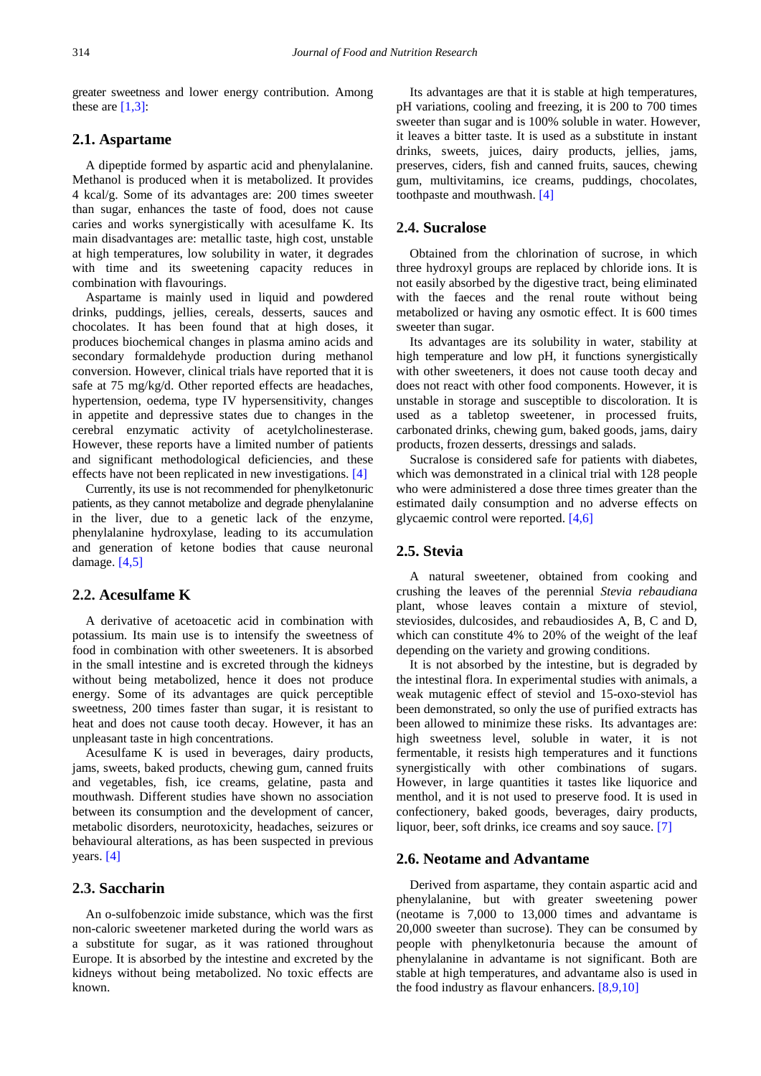greater sweetness and lower energy contribution. Among these are  $[1,3]$ :

## **2.1. Aspartame**

A dipeptide formed by aspartic acid and phenylalanine. Methanol is produced when it is metabolized. It provides 4 kcal/g. Some of its advantages are: 200 times sweeter than sugar, enhances the taste of food, does not cause caries and works synergistically with acesulfame K. Its main disadvantages are: metallic taste, high cost, unstable at high temperatures, low solubility in water, it degrades with time and its sweetening capacity reduces in combination with flavourings.

Aspartame is mainly used in liquid and powdered drinks, puddings, jellies, cereals, desserts, sauces and chocolates. It has been found that at high doses, it produces biochemical changes in plasma amino acids and secondary formaldehyde production during methanol conversion. However, clinical trials have reported that it is safe at 75 mg/kg/d. Other reported effects are headaches, hypertension, oedema, type IV hypersensitivity, changes in appetite and depressive states due to changes in the cerebral enzymatic activity of acetylcholinesterase. However, these reports have a limited number of patients and significant methodological deficiencies, and these effects have not been replicated in new investigations. [\[4\]](#page-5-1)

Currently, its use is not recommended for phenylketonuric patients, as they cannot metabolize and degrade phenylalanine in the liver, due to a genetic lack of the enzyme, phenylalanine hydroxylase, leading to its accumulation and generation of ketone bodies that cause neuronal damage. [\[4,5\]](#page-5-1)

#### **2.2. Acesulfame K**

A derivative of acetoacetic acid in combination with potassium. Its main use is to intensify the sweetness of food in combination with other sweeteners. It is absorbed in the small intestine and is excreted through the kidneys without being metabolized, hence it does not produce energy. Some of its advantages are quick perceptible sweetness, 200 times faster than sugar, it is resistant to heat and does not cause tooth decay. However, it has an unpleasant taste in high concentrations.

Acesulfame K is used in beverages, dairy products, jams, sweets, baked products, chewing gum, canned fruits and vegetables, fish, ice creams, gelatine, pasta and mouthwash. Different studies have shown no association between its consumption and the development of cancer, metabolic disorders, neurotoxicity, headaches, seizures or behavioural alterations, as has been suspected in previous years. [\[4\]](#page-5-1)

## **2.3. Saccharin**

An o-sulfobenzoic imide substance, which was the first non-caloric sweetener marketed during the world wars as a substitute for sugar, as it was rationed throughout Europe. It is absorbed by the intestine and excreted by the kidneys without being metabolized. No toxic effects are known.

Its advantages are that it is stable at high temperatures, pH variations, cooling and freezing, it is 200 to 700 times sweeter than sugar and is 100% soluble in water. However, it leaves a bitter taste. It is used as a substitute in instant drinks, sweets, juices, dairy products, jellies, jams, preserves, ciders, fish and canned fruits, sauces, chewing gum, multivitamins, ice creams, puddings, chocolates, toothpaste and mouthwash. [\[4\]](#page-5-1)

## **2.4. Sucralose**

Obtained from the chlorination of sucrose, in which three hydroxyl groups are replaced by chloride ions. It is not easily absorbed by the digestive tract, being eliminated with the faeces and the renal route without being metabolized or having any osmotic effect. It is 600 times sweeter than sugar.

Its advantages are its solubility in water, stability at high temperature and low pH, it functions synergistically with other sweeteners, it does not cause tooth decay and does not react with other food components. However, it is unstable in storage and susceptible to discoloration. It is used as a tabletop sweetener, in processed fruits, carbonated drinks, chewing gum, baked goods, jams, dairy products, frozen desserts, dressings and salads.

Sucralose is considered safe for patients with diabetes, which was demonstrated in a clinical trial with 128 people who were administered a dose three times greater than the estimated daily consumption and no adverse effects on glycaemic control were reported. [\[4,6\]](#page-5-1)

## **2.5. Stevia**

A natural sweetener, obtained from cooking and crushing the leaves of the perennial *Stevia rebaudiana* plant, whose leaves contain a mixture of steviol, steviosides, dulcosides, and rebaudiosides A, B, C and D, which can constitute 4% to 20% of the weight of the leaf depending on the variety and growing conditions.

It is not absorbed by the intestine, but is degraded by the intestinal flora. In experimental studies with animals, a weak mutagenic effect of steviol and 15-oxo-steviol has been demonstrated, so only the use of purified extracts has been allowed to minimize these risks. Its advantages are: high sweetness level, soluble in water, it is not fermentable, it resists high temperatures and it functions synergistically with other combinations of sugars. However, in large quantities it tastes like liquorice and menthol, and it is not used to preserve food. It is used in confectionery, baked goods, beverages, dairy products, liquor, beer, soft drinks, ice creams and soy sauce. [\[7\]](#page-5-2)

## **2.6. Neotame and Advantame**

Derived from aspartame, they contain aspartic acid and phenylalanine, but with greater sweetening power (neotame is 7,000 to 13,000 times and advantame is 20,000 sweeter than sucrose). They can be consumed by people with phenylketonuria because the amount of phenylalanine in advantame is not significant. Both are stable at high temperatures, and advantame also is used in the food industry as flavour enhancers. [\[8,9,10\]](#page-5-3)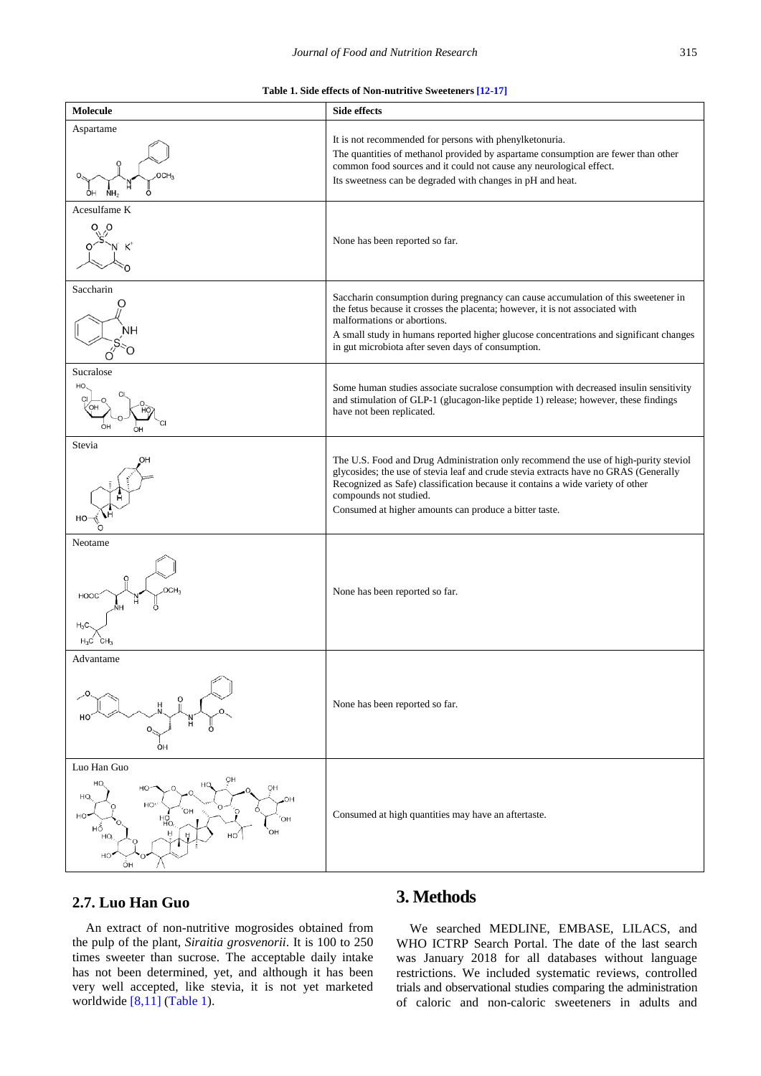<span id="page-2-1"></span><span id="page-2-0"></span>

## **2.7. Luo Han Guo**

An extract of non-nutritive mogrosides obtained from the pulp of the plant, *Siraitia grosvenorii*. It is 100 to 250 times sweeter than sucrose. The acceptable daily intake has not been determined, yet, and although it has been very well accepted, like stevia, it is not yet marketed worldwide [\[8,11\]](#page-5-3) [\(Table 1\)](#page-2-0).

## **3. Methods**

We searched MEDLINE, EMBASE, LILACS, and WHO ICTRP Search Portal. The date of the last search was January 2018 for all databases without language restrictions. We included systematic reviews, controlled trials and observational studies comparing the administration of caloric and non-caloric sweeteners in adults and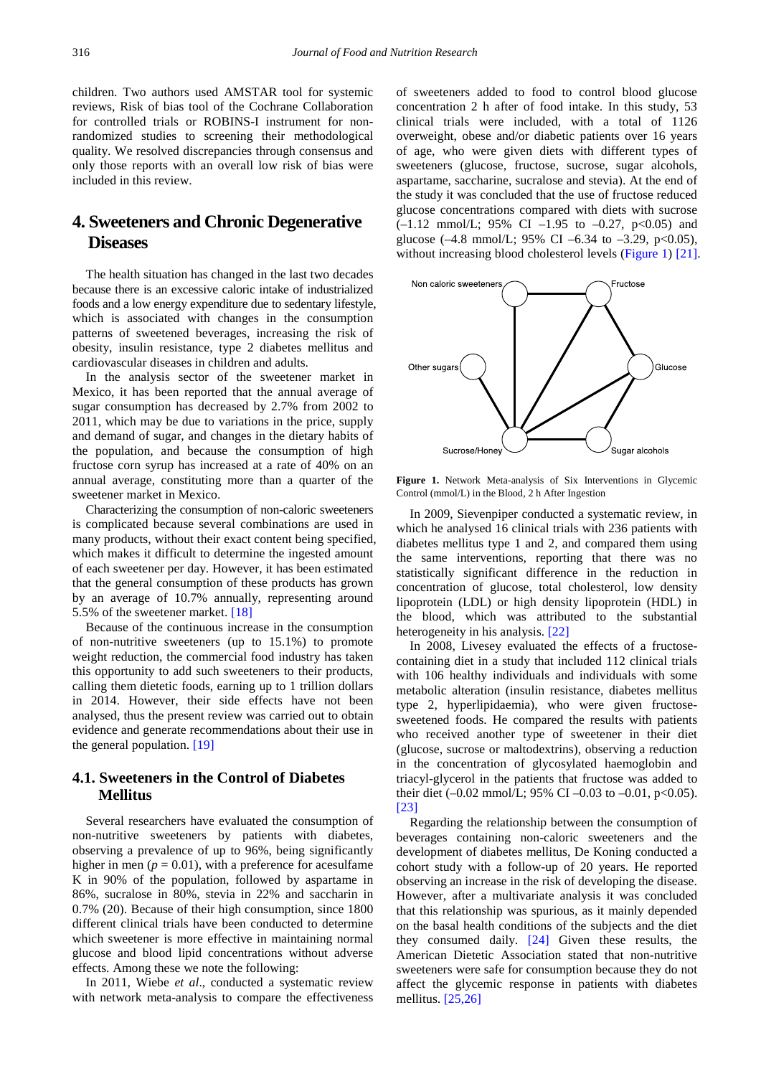children. Two authors used AMSTAR tool for systemic reviews, Risk of bias tool of the Cochrane Collaboration for controlled trials or ROBINS-I instrument for nonrandomized studies to screening their methodological quality. We resolved discrepancies through consensus and only those reports with an overall low risk of bias were included in this review.

# **4. Sweeteners and Chronic Degenerative Diseases**

The health situation has changed in the last two decades because there is an excessive caloric intake of industrialized foods and a low energy expenditure due to sedentary lifestyle, which is associated with changes in the consumption patterns of sweetened beverages, increasing the risk of obesity, insulin resistance, type 2 diabetes mellitus and cardiovascular diseases in children and adults.

In the analysis sector of the sweetener market in Mexico, it has been reported that the annual average of sugar consumption has decreased by 2.7% from 2002 to 2011, which may be due to variations in the price, supply and demand of sugar, and changes in the dietary habits of the population, and because the consumption of high fructose corn syrup has increased at a rate of 40% on an annual average, constituting more than a quarter of the sweetener market in Mexico.

Characterizing the consumption of non-caloric sweeteners is complicated because several combinations are used in many products, without their exact content being specified, which makes it difficult to determine the ingested amount of each sweetener per day. However, it has been estimated that the general consumption of these products has grown by an average of 10.7% annually, representing around 5.5% of the sweetener market. [\[18\]](#page-6-0)

Because of the continuous increase in the consumption of non-nutritive sweeteners (up to 15.1%) to promote weight reduction, the commercial food industry has taken this opportunity to add such sweeteners to their products, calling them dietetic foods, earning up to 1 trillion dollars in 2014. However, their side effects have not been analysed, thus the present review was carried out to obtain evidence and generate recommendations about their use in the general population. [\[19\]](#page-6-1)

## **4.1. Sweeteners in the Control of Diabetes Mellitus**

Several researchers have evaluated the consumption of non-nutritive sweeteners by patients with diabetes, observing a prevalence of up to 96%, being significantly higher in men ( $p = 0.01$ ), with a preference for acesulfame K in 90% of the population, followed by aspartame in 86%, sucralose in 80%, stevia in 22% and saccharin in 0.7% (20). Because of their high consumption, since 1800 different clinical trials have been conducted to determine which sweetener is more effective in maintaining normal glucose and blood lipid concentrations without adverse effects. Among these we note the following:

In 2011, Wiebe *et al*., conducted a systematic review with network meta-analysis to compare the effectiveness of sweeteners added to food to control blood glucose concentration 2 h after of food intake. In this study, 53 clinical trials were included, with a total of 1126 overweight, obese and/or diabetic patients over 16 years of age, who were given diets with different types of sweeteners (glucose, fructose, sucrose, sugar alcohols, aspartame, saccharine, sucralose and stevia). At the end of the study it was concluded that the use of fructose reduced glucose concentrations compared with diets with sucrose  $(-1.12 \text{ mmol/L}; 95\% \text{ CI} -1.95 \text{ to } -0.27, \text{ p} < 0.05) \text{ and }$ glucose  $(-4.8 \text{ mmol/L}; 95\% \text{ CI } -6.34 \text{ to } -3.29, \text{ p} < 0.05)$ , without increasing blood cholesterol levels [\(Figure 1\)](#page-2-1) [\[21\].](#page-6-2)



**Figure 1.** Network Meta-analysis of Six Interventions in Glycemic Control (mmol/L) in the Blood, 2 h After Ingestion

In 2009, Sievenpiper conducted a systematic review, in which he analysed 16 clinical trials with 236 patients with diabetes mellitus type 1 and 2, and compared them using the same interventions, reporting that there was no statistically significant difference in the reduction in concentration of glucose, total cholesterol, low density lipoprotein (LDL) or high density lipoprotein (HDL) in the blood, which was attributed to the substantial heterogeneity in his analysis. [\[22\]](#page-6-3)

In 2008, Livesey evaluated the effects of a fructosecontaining diet in a study that included 112 clinical trials with 106 healthy individuals and individuals with some metabolic alteration (insulin resistance, diabetes mellitus type 2, hyperlipidaemia), who were given fructosesweetened foods. He compared the results with patients who received another type of sweetener in their diet (glucose, sucrose or maltodextrins), observing a reduction in the concentration of glycosylated haemoglobin and triacyl-glycerol in the patients that fructose was added to their diet  $(-0.02 \text{ mmol/L}; 95\% \text{ CI} -0.03 \text{ to } -0.01, \text{ p} < 0.05)$ . [\[23\]](#page-6-4)

Regarding the relationship between the consumption of beverages containing non-caloric sweeteners and the development of diabetes mellitus, De Koning conducted a cohort study with a follow-up of 20 years. He reported observing an increase in the risk of developing the disease. However, after a multivariate analysis it was concluded that this relationship was spurious, as it mainly depended on the basal health conditions of the subjects and the diet they consumed daily. [\[24\]](#page-6-5) Given these results, the American Dietetic Association stated that non-nutritive sweeteners were safe for consumption because they do not affect the glycemic response in patients with diabetes mellitus. [\[25,26\]](#page-6-6)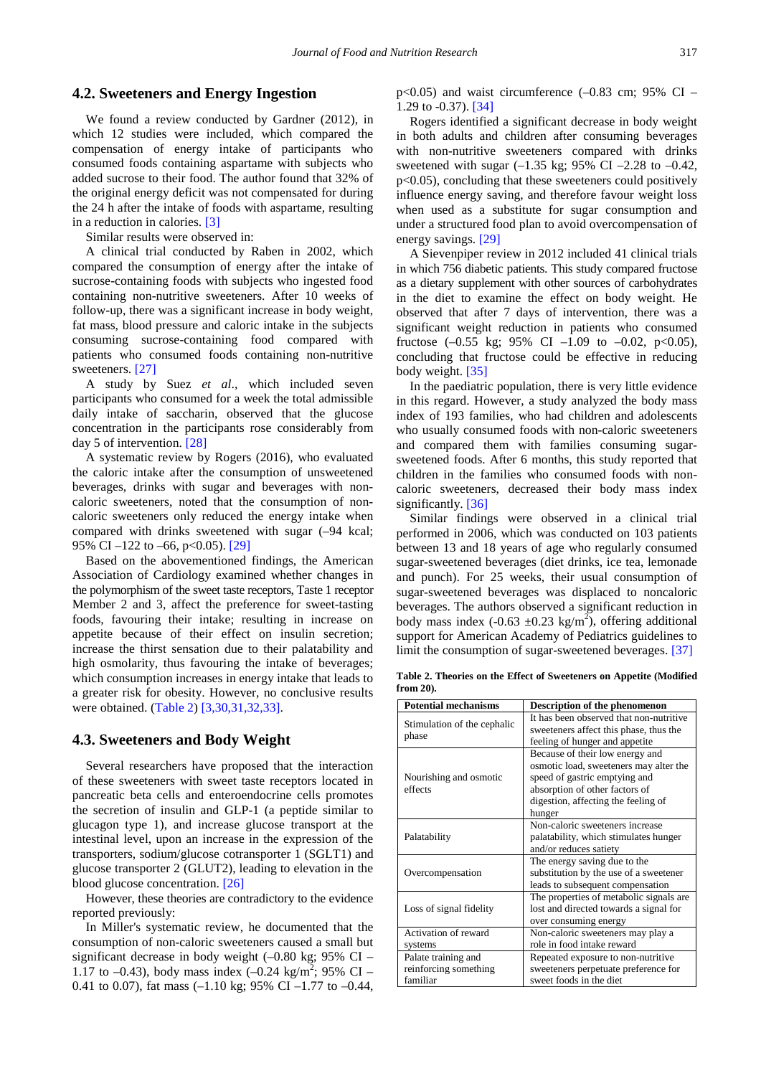#### **4.2. Sweeteners and Energy Ingestion**

We found a review conducted by Gardner (2012), in which 12 studies were included, which compared the compensation of energy intake of participants who consumed foods containing aspartame with subjects who added sucrose to their food. The author found that 32% of the original energy deficit was not compensated for during the 24 h after the intake of foods with aspartame, resulting in a reduction in calories. [\[3\]](#page-5-5)

Similar results were observed in:

A clinical trial conducted by Raben in 2002, which compared the consumption of energy after the intake of sucrose-containing foods with subjects who ingested food containing non-nutritive sweeteners. After 10 weeks of follow-up, there was a significant increase in body weight, fat mass, blood pressure and caloric intake in the subjects consuming sucrose-containing food compared with patients who consumed foods containing non-nutritive sweeteners. [\[27\]](#page-6-7)

A study by Suez *et al*., which included seven participants who consumed for a week the total admissible daily intake of saccharin, observed that the glucose concentration in the participants rose considerably from day 5 of intervention. [\[28\]](#page-6-8)

A systematic review by Rogers (2016), who evaluated the caloric intake after the consumption of unsweetened beverages, drinks with sugar and beverages with noncaloric sweeteners, noted that the consumption of noncaloric sweeteners only reduced the energy intake when compared with drinks sweetened with sugar (–94 kcal; 95% CI –122 to –66, p<0.05). [\[29\]](#page-6-9)

Based on the abovementioned findings, the American Association of Cardiology examined whether changes in the polymorphism of the sweet taste receptors, Taste 1 receptor Member 2 and 3, affect the preference for sweet-tasting foods, favouring their intake; resulting in increase on appetite because of their effect on insulin secretion; increase the thirst sensation due to their palatability and high osmolarity, thus favouring the intake of beverages; which consumption increases in energy intake that leads to a greater risk for obesity. However, no conclusive results were obtained. [\(Table 2\)](#page-4-0) [\[3,30,31,32,33\].](#page-5-5)

#### **4.3. Sweeteners and Body Weight**

Several researchers have proposed that the interaction of these sweeteners with sweet taste receptors located in pancreatic beta cells and enteroendocrine cells promotes the secretion of insulin and GLP-1 (a peptide similar to glucagon type 1), and increase glucose transport at the intestinal level, upon an increase in the expression of the transporters, sodium/glucose cotransporter 1 (SGLT1) and glucose transporter 2 (GLUT2), leading to elevation in the blood glucose concentration. [\[26\]](#page-6-10)

However, these theories are contradictory to the evidence reported previously:

In Miller's systematic review, he documented that the consumption of non-caloric sweeteners caused a small but significant decrease in body weight  $(-0.80 \text{ kg}; 95\% \text{ CI} -$ 1.17 to -0.43), body mass index  $(-0.24 \text{ kg/m}^2; 95\% \text{ CI} -$ 0.41 to 0.07), fat mass  $(-1.10 \text{ kg}; 95\% \text{ CI} -1.77 \text{ to } -0.44,$   $p<0.05$ ) and waist circumference  $(-0.83 \text{ cm}; 95\% \text{ CI} -$ 1.29 to -0.37)[. \[34\]](#page-6-11)

Rogers identified a significant decrease in body weight in both adults and children after consuming beverages with non-nutritive sweeteners compared with drinks sweetened with sugar  $(-1.35 \text{ kg}; 95\% \text{ CI} -2.28 \text{ to } -0.42)$ , p<0.05), concluding that these sweeteners could positively influence energy saving, and therefore favour weight loss when used as a substitute for sugar consumption and under a structured food plan to avoid overcompensation of energy savings. [\[29\]](#page-6-9)

A Sievenpiper review in 2012 included 41 clinical trials in which 756 diabetic patients. This study compared fructose as a dietary supplement with other sources of carbohydrates in the diet to examine the effect on body weight. He observed that after 7 days of intervention, there was a significant weight reduction in patients who consumed fructose  $(-0.55 \text{ kg}; 95\% \text{ CI} -1.09 \text{ to } -0.02, \text{ p} < 0.05)$ , concluding that fructose could be effective in reducing body weight. [\[35\]](#page-6-12)

In the paediatric population, there is very little evidence in this regard. However, a study analyzed the body mass index of 193 families, who had children and adolescents who usually consumed foods with non-caloric sweeteners and compared them with families consuming sugarsweetened foods. After 6 months, this study reported that children in the families who consumed foods with noncaloric sweeteners, decreased their body mass index significantly. [\[36\]](#page-6-13)

Similar findings were observed in a clinical trial performed in 2006, which was conducted on 103 patients between 13 and 18 years of age who regularly consumed sugar-sweetened beverages (diet drinks, ice tea, lemonade and punch). For 25 weeks, their usual consumption of sugar-sweetened beverages was displaced to noncaloric beverages. The authors observed a significant reduction in body mass index (-0.63  $\pm$ 0.23 kg/m<sup>2</sup>), offering additional support for American Academy of Pediatrics guidelines to limit the consumption of sugar-sweetened beverages. [\[37\]](#page-6-14)

**Table 2. Theories on the Effect of Sweeteners on Appetite (Modified from 20).**

<span id="page-4-0"></span>

| <b>Potential mechanisms</b>                              | Description of the phenomenon                                                                                                                                                                 |
|----------------------------------------------------------|-----------------------------------------------------------------------------------------------------------------------------------------------------------------------------------------------|
| Stimulation of the cephalic<br>phase                     | It has been observed that non-nutritive<br>sweeteners affect this phase, thus the<br>feeling of hunger and appetite                                                                           |
| Nourishing and osmotic<br>effects                        | Because of their low energy and<br>osmotic load, sweeteners may alter the<br>speed of gastric emptying and<br>absorption of other factors of<br>digestion, affecting the feeling of<br>hunger |
| Palatability                                             | Non-caloric sweeteners increase<br>palatability, which stimulates hunger<br>and/or reduces satiety                                                                                            |
| Overcompensation                                         | The energy saving due to the<br>substitution by the use of a sweetener<br>leads to subsequent compensation                                                                                    |
| Loss of signal fidelity                                  | The properties of metabolic signals are<br>lost and directed towards a signal for<br>over consuming energy                                                                                    |
| Activation of reward<br>systems                          | Non-caloric sweeteners may play a<br>role in food intake reward                                                                                                                               |
| Palate training and<br>reinforcing something<br>familiar | Repeated exposure to non-nutritive<br>sweeteners perpetuate preference for<br>sweet foods in the diet                                                                                         |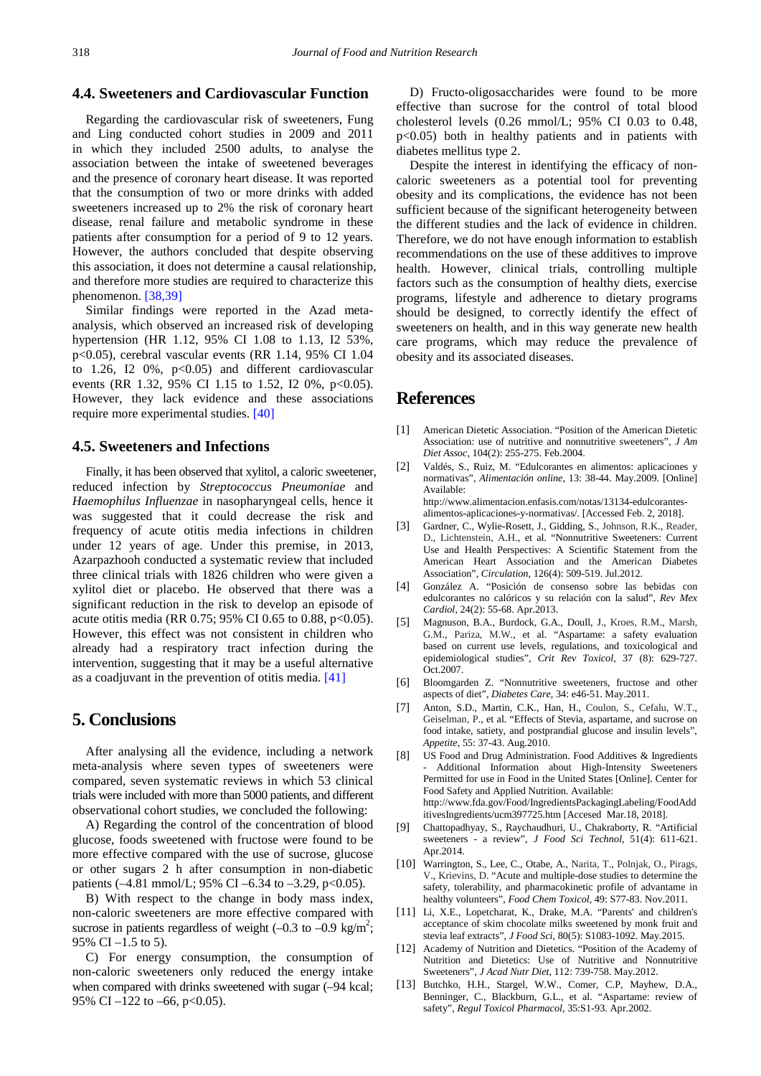## **4.4. Sweeteners and Cardiovascular Function**

Regarding the cardiovascular risk of sweeteners, Fung and Ling conducted cohort studies in 2009 and 2011 in which they included 2500 adults, to analyse the association between the intake of sweetened beverages and the presence of coronary heart disease. It was reported that the consumption of two or more drinks with added sweeteners increased up to 2% the risk of coronary heart disease, renal failure and metabolic syndrome in these patients after consumption for a period of 9 to 12 years. However, the authors concluded that despite observing this association, it does not determine a causal relationship, and therefore more studies are required to characterize this phenomenon. [\[38,39\]](#page-6-15)

Similar findings were reported in the Azad metaanalysis, which observed an increased risk of developing hypertension (HR 1.12, 95% CI 1.08 to 1.13, I2 53%, p<0.05), cerebral vascular events (RR 1.14, 95% CI 1.04 to 1.26, I2  $0\%$ ,  $p<0.05$ ) and different cardiovascular events (RR 1.32, 95% CI 1.15 to 1.52, I2 0%,  $p<0.05$ ). However, they lack evidence and these associations require more experimental studies. [\[40\]](#page-6-16)

#### **4.5. Sweeteners and Infections**

Finally, it has been observed that xylitol, a caloric sweetener, reduced infection by *Streptococcus Pneumoniae* and *Haemophilus Influenzae* in nasopharyngeal cells, hence it was suggested that it could decrease the risk and frequency of acute otitis media infections in children under 12 years of age. Under this premise, in 2013, Azarpazhooh conducted a systematic review that included three clinical trials with 1826 children who were given a xylitol diet or placebo. He observed that there was a significant reduction in the risk to develop an episode of acute otitis media (RR 0.75; 95% CI 0.65 to 0.88, p<0.05). However, this effect was not consistent in children who already had a respiratory tract infection during the intervention, suggesting that it may be a useful alternative as a coadjuvant in the prevention of otitis media. [\[41\]](#page-6-17)

## **5. Conclusions**

After analysing all the evidence, including a network meta-analysis where seven types of sweeteners were compared, seven systematic reviews in which 53 clinical trials were included with more than 5000 patients, and different observational cohort studies, we concluded the following:

A) Regarding the control of the concentration of blood glucose, foods sweetened with fructose were found to be more effective compared with the use of sucrose, glucose or other sugars 2 h after consumption in non-diabetic patients  $(-4.81 \text{ mmol/L}; 95\% \text{ CI} -6.34 \text{ to } -3.29, \text{ p} < 0.05)$ .

B) With respect to the change in body mass index, non-caloric sweeteners are more effective compared with sucrose in patients regardless of weight  $(-0.3 \text{ to } -0.9 \text{ kg/m}^2;$ 95% CI –1.5 to 5).

C) For energy consumption, the consumption of non-caloric sweeteners only reduced the energy intake when compared with drinks sweetened with sugar  $(-94 \text{ kcal})$ ; 95% CI  $-122$  to  $-66$ , p<0.05).

D) Fructo-oligosaccharides were found to be more effective than sucrose for the control of total blood cholesterol levels (0.26 mmol/L; 95% CI 0.03 to 0.48, p<0.05) both in healthy patients and in patients with diabetes mellitus type 2.

Despite the interest in identifying the efficacy of noncaloric sweeteners as a potential tool for preventing obesity and its complications, the evidence has not been sufficient because of the significant heterogeneity between the different studies and the lack of evidence in children. Therefore, we do not have enough information to establish recommendations on the use of these additives to improve health. However, clinical trials, controlling multiple factors such as the consumption of healthy diets, exercise programs, lifestyle and adherence to dietary programs should be designed, to correctly identify the effect of sweeteners on health, and in this way generate new health care programs, which may reduce the prevalence of obesity and its associated diseases.

## **References**

- <span id="page-5-0"></span>[1] American Dietetic Association. "Position of the American Dietetic Association: use of nutritive and nonnutritive sweeteners", *J Am Diet Assoc,* 104(2): 255-275. Feb.2004.
- [2] Valdés, S., Ruiz, M. "Edulcorantes en alimentos: aplicaciones y normativas", *Alimentación online,* 13: 38-44. May.2009. [Online] Available: http://www.alimentacion.enfasis.com/notas/13134-edulcorantesalimentos-aplicaciones-y-normativas/. [Accessed Feb. 2, 2018].
- <span id="page-5-5"></span>[3] Gardner, C., Wylie-Rosett, J., Gidding, S., Johnson, R.K., Reader, D., Lichtenstein, A.H., et al. "Nonnutritive Sweeteners: Current Use and Health Perspectives: A Scientific Statement from the American Heart Association and the American Diabetes Association", *Circulation,* 126(4): 509-519. Jul.2012.
- <span id="page-5-1"></span>[4] González A. "Posición de consenso sobre las bebidas con edulcorantes no calóricos y su relación con la salud", *Rev Mex Cardiol*, 24(2): 55-68. Apr.2013.
- [5] Magnuson, B.A., Burdock, G.A., Doull, J., Kroes, R.M., Marsh, G.M., Pariza, M.W., et al. "Aspartame: a safety evaluation based on current use levels, regulations, and toxicological and epidemiological studies"*, Crit Rev Toxicol,* 37 (8): 629-727. Oct.2007.
- [6] Bloomgarden Z. "Nonnutritive sweeteners, fructose and other aspects of diet", *Diabetes Care*, 34: e46-51. May.2011.
- <span id="page-5-2"></span>[7] Anton, S.D., Martin, C.K., Han, H., Coulon, S., Cefalu, W.T., Geiselman, P., et al. "Effects of Stevia, aspartame, and sucrose on food intake, satiety, and postprandial glucose and insulin levels", *Appetite,* 55: 37-43. Aug.2010.
- <span id="page-5-3"></span>[8] US Food and Drug Administration. Food Additives & Ingredients Additional Information about High-Intensity Sweeteners Permitted for use in Food in the United States [Online]. Center for Food Safety and Applied Nutrition. Available: http://www.fda.gov/Food/IngredientsPackagingLabeling/FoodAdd itivesIngredients/ucm397725.htm [Accesed Mar.18, 2018].
- [9] Chattopadhyay, S., Raychaudhuri, U., Chakraborty, R. "Artificial sweeteners - a review", *J Food Sci Technol*, 51(4): 611-621. Apr.2014.
- [10] Warrington, S., Lee, C., Otabe, A., Narita, T., Polnjak, O., Pirags, V., Krievins, D. "Acute and multiple-dose studies to determine the safety, tolerability, and pharmacokinetic profile of advantame in healthy volunteers", *Food Chem Toxicol*, 49: S77-83. Nov.2011.
- [11] Li, X.E., Lopetcharat, K., Drake, M.A. "Parents' and children's acceptance of skim chocolate milks sweetened by monk fruit and stevia leaf extracts", *J Food Sci*, 80(5): S1083-1092. May.2015.
- <span id="page-5-4"></span>[12] Academy of Nutrition and Dietetics. "Position of the Academy of Nutrition and Dietetics: Use of Nutritive and Nonnutritive Sweeteners", *J Acad Nutr Diet*, 112: 739-758. May.2012.
- [13] Butchko, H.H., Stargel, W.W., Comer, C.P, Mayhew, D.A., Benninger, C., Blackburn, G.L., et al. "Aspartame: review of safety", *Regul Toxicol Pharmacol*, 35:S1-93. Apr.2002.